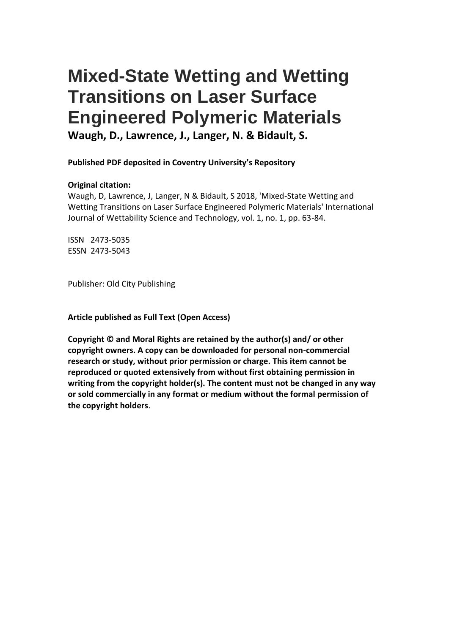# **Mixed-State Wetting and Wetting Transitions on Laser Surface Engineered Polymeric Materials Waugh, D., Lawrence, J., Langer, N. & Bidault, S.**

**Published PDF deposited in Coventry University's Repository** 

## **Original citation:**

Waugh, D, Lawrence, J, Langer, N & Bidault, S 2018, 'Mixed-State Wetting and Wetting Transitions on Laser Surface Engineered Polymeric Materials' International Journal of Wettability Science and Technology, vol. 1, no. 1, pp. 63-84.

ISSN 2473-5035 ESSN 2473-5043

Publisher: Old City Publishing

**Article published as Full Text (Open Access)**

**Copyright © and Moral Rights are retained by the author(s) and/ or other copyright owners. A copy can be downloaded for personal non-commercial research or study, without prior permission or charge. This item cannot be reproduced or quoted extensively from without first obtaining permission in writing from the copyright holder(s). The content must not be changed in any way or sold commercially in any format or medium without the formal permission of the copyright holders**.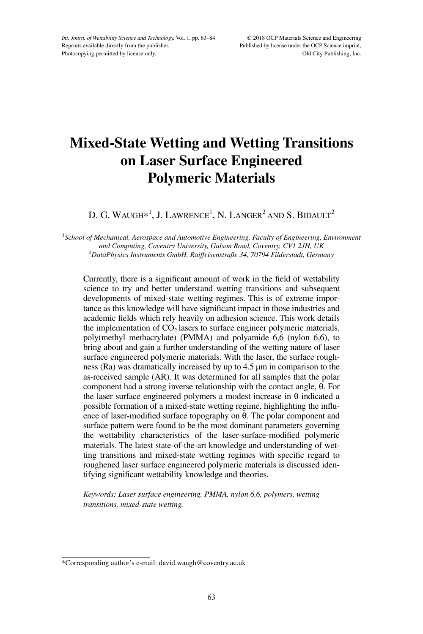# **Mixed-State Wetting and Wetting Transitions on Laser Surface Engineered Polymeric Materials**

D. G. WAUGH $\ast^1$ , J. Lawrence<sup>1</sup>, N. Langer<sup>2</sup> and S. Bidault<sup>2</sup>

<sup>1</sup> School of Mechanical, Aerospace and Automotive Engineering, Faculty of Engineering, Environment *and Computing, Coventry University, Gulson Road, Coventry, CV1 2JH, UK 2 DataPhysics Instruments GmbH, Raiffeisenstraße 34, 70794 Filderstadt, Germany*

Currently, there is a significant amount of work in the field of wettability science to try and better understand wetting transitions and subsequent developments of mixed-state wetting regimes. This is of extreme importance as this knowledge will have significant impact in those industries and academic fields which rely heavily on adhesion science. This work details the implementation of  $CO<sub>2</sub>$  lasers to surface engineer polymeric materials, poly(methyl methacrylate) (PMMA) and polyamide 6,6 (nylon 6,6), to bring about and gain a further understanding of the wetting nature of laser surface engineered polymeric materials. With the laser, the surface roughness (Ra) was dramatically increased by up to 4.5 µm in comparison to the as-received sample (AR). It was determined for all samples that the polar component had a strong inverse relationship with the contact angle, θ. For the laser surface engineered polymers a modest increase in θ indicated a possible formation of a mixed-state wetting regime, highlighting the influence of laser-modified surface topography on θ. The polar component and surface pattern were found to be the most dominant parameters governing the wettability characteristics of the laser-surface-modified polymeric materials. The latest state-of-the-art knowledge and understanding of wetting transitions and mixed-state wetting regimes with specific regard to roughened laser surface engineered polymeric materials is discussed identifying significant wettability knowledge and theories.

*Keywords: Laser surface engineering, PMMA, nylon 6,6, polymers, wetting transitions, mixed-state wetting.* 

<sup>\*</sup>Corresponding author's e-mail: david.waugh@coventry.ac.uk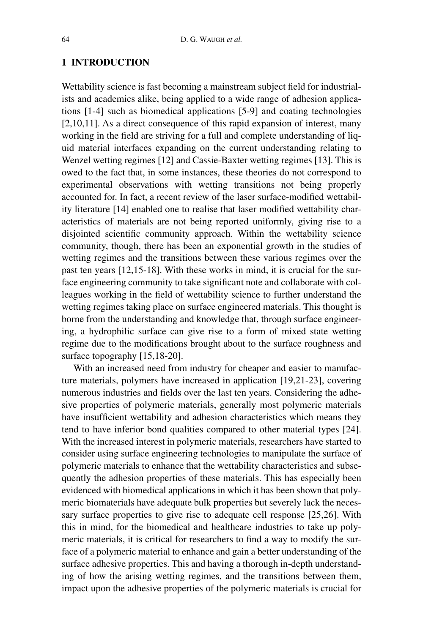#### **1 Introduction**

Wettability science is fast becoming a mainstream subject field for industrialists and academics alike, being applied to a wide range of adhesion applications [1-4] such as biomedical applications [5-9] and coating technologies [2,10,11]. As a direct consequence of this rapid expansion of interest, many working in the field are striving for a full and complete understanding of liquid material interfaces expanding on the current understanding relating to Wenzel wetting regimes [12] and Cassie-Baxter wetting regimes [13]. This is owed to the fact that, in some instances, these theories do not correspond to experimental observations with wetting transitions not being properly accounted for. In fact, a recent review of the laser surface-modified wettability literature [14] enabled one to realise that laser modified wettability characteristics of materials are not being reported uniformly, giving rise to a disjointed scientific community approach. Within the wettability science community, though, there has been an exponential growth in the studies of wetting regimes and the transitions between these various regimes over the past ten years [12,15-18]. With these works in mind, it is crucial for the surface engineering community to take significant note and collaborate with colleagues working in the field of wettability science to further understand the wetting regimes taking place on surface engineered materials. This thought is borne from the understanding and knowledge that, through surface engineering, a hydrophilic surface can give rise to a form of mixed state wetting regime due to the modifications brought about to the surface roughness and surface topography [15,18-20].

With an increased need from industry for cheaper and easier to manufacture materials, polymers have increased in application [19,21-23], covering numerous industries and fields over the last ten years. Considering the adhesive properties of polymeric materials, generally most polymeric materials have insufficient wettability and adhesion characteristics which means they tend to have inferior bond qualities compared to other material types [24]. With the increased interest in polymeric materials, researchers have started to consider using surface engineering technologies to manipulate the surface of polymeric materials to enhance that the wettability characteristics and subsequently the adhesion properties of these materials. This has especially been evidenced with biomedical applications in which it has been shown that polymeric biomaterials have adequate bulk properties but severely lack the necessary surface properties to give rise to adequate cell response [25,26]. With this in mind, for the biomedical and healthcare industries to take up polymeric materials, it is critical for researchers to find a way to modify the surface of a polymeric material to enhance and gain a better understanding of the surface adhesive properties. This and having a thorough in-depth understanding of how the arising wetting regimes, and the transitions between them, impact upon the adhesive properties of the polymeric materials is crucial for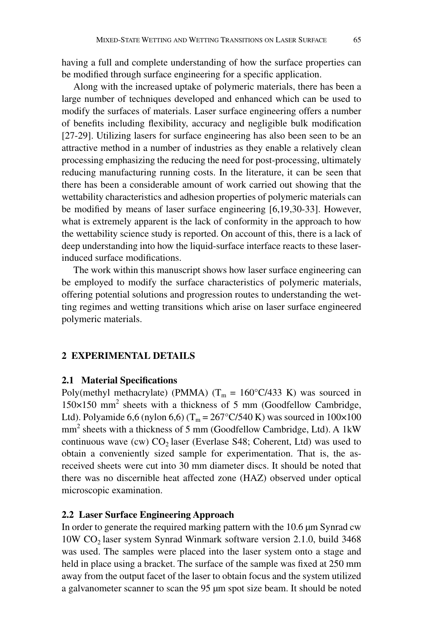having a full and complete understanding of how the surface properties can be modified through surface engineering for a specific application.

Along with the increased uptake of polymeric materials, there has been a large number of techniques developed and enhanced which can be used to modify the surfaces of materials. Laser surface engineering offers a number of benefits including flexibility, accuracy and negligible bulk modification [27-29]. Utilizing lasers for surface engineering has also been seen to be an attractive method in a number of industries as they enable a relatively clean processing emphasizing the reducing the need for post-processing, ultimately reducing manufacturing running costs. In the literature, it can be seen that there has been a considerable amount of work carried out showing that the wettability characteristics and adhesion properties of polymeric materials can be modified by means of laser surface engineering [6,19,30-33]. However, what is extremely apparent is the lack of conformity in the approach to how the wettability science study is reported. On account of this, there is a lack of deep understanding into how the liquid-surface interface reacts to these laserinduced surface modifications.

The work within this manuscript shows how laser surface engineering can be employed to modify the surface characteristics of polymeric materials, offering potential solutions and progression routes to understanding the wetting regimes and wetting transitions which arise on laser surface engineered polymeric materials.

#### **2 Experimental Details**

#### **2.1 Material Specifications**

Poly(methyl methacrylate) (PMMA) ( $T_m = 160\degree C/433$  K) was sourced in 150×150 mm<sup>2</sup> sheets with a thickness of 5 mm (Goodfellow Cambridge, Ltd). Polyamide 6,6 (nylon 6,6) (T<sub>m</sub> = 267°C/540 K) was sourced in 100×100 mm2 sheets with a thickness of 5 mm (Goodfellow Cambridge, Ltd). A 1kW continuous wave (cw)  $CO<sub>2</sub>$  laser (Everlase S48; Coherent, Ltd) was used to obtain a conveniently sized sample for experimentation. That is, the asreceived sheets were cut into 30 mm diameter discs. It should be noted that there was no discernible heat affected zone (HAZ) observed under optical microscopic examination.

#### **2.2 Laser Surface Engineering Approach**

In order to generate the required marking pattern with the 10.6 µm Synrad cw 10W CO<sub>2</sub> laser system Synrad Winmark software version 2.1.0, build 3468 was used. The samples were placed into the laser system onto a stage and held in place using a bracket. The surface of the sample was fixed at 250 mm away from the output facet of the laser to obtain focus and the system utilized a galvanometer scanner to scan the 95 µm spot size beam. It should be noted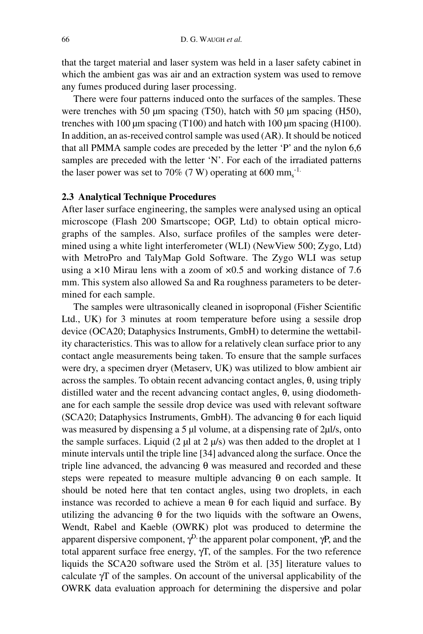that the target material and laser system was held in a laser safety cabinet in which the ambient gas was air and an extraction system was used to remove any fumes produced during laser processing.

There were four patterns induced onto the surfaces of the samples. These were trenches with 50 µm spacing (T50), hatch with 50 µm spacing (H50), trenches with 100  $\mu$ m spacing (T100) and hatch with 100  $\mu$ m spacing (H100). In addition, an as-received control sample was used (AR). It should be noticed that all PMMA sample codes are preceded by the letter 'P' and the nylon 6,6 samples are preceded with the letter 'N'. For each of the irradiated patterns the laser power was set to 70% (7 W) operating at 600 mm<sub>s</sub><sup>-1.</sup>

#### **2.3 Analytical Technique Procedures**

After laser surface engineering, the samples were analysed using an optical microscope (Flash 200 Smartscope; OGP, Ltd) to obtain optical micrographs of the samples. Also, surface profiles of the samples were determined using a white light interferometer (WLI) (NewView 500; Zygo, Ltd) with MetroPro and TalyMap Gold Software. The Zygo WLI was setup using a  $\times$ 10 Mirau lens with a zoom of  $\times$ 0.5 and working distance of 7.6 mm. This system also allowed Sa and Ra roughness parameters to be determined for each sample.

The samples were ultrasonically cleaned in isoproponal (Fisher Scientific Ltd., UK) for 3 minutes at room temperature before using a sessile drop device (OCA20; Dataphysics Instruments, GmbH) to determine the wettability characteristics. This was to allow for a relatively clean surface prior to any contact angle measurements being taken. To ensure that the sample surfaces were dry, a specimen dryer (Metaserv, UK) was utilized to blow ambient air across the samples. To obtain recent advancing contact angles, θ, using triply distilled water and the recent advancing contact angles, θ, using diodomethane for each sample the sessile drop device was used with relevant software (SCA20; Dataphysics Instruments, GmbH). The advancing  $\theta$  for each liquid was measured by dispensing a 5 µl volume, at a dispensing rate of 2µl/s, onto the sample surfaces. Liquid (2  $\mu$ l at 2  $\mu$ /s) was then added to the droplet at 1 minute intervals until the triple line [34] advanced along the surface. Once the triple line advanced, the advancing θ was measured and recorded and these steps were repeated to measure multiple advancing  $\theta$  on each sample. It should be noted here that ten contact angles, using two droplets, in each instance was recorded to achieve a mean  $\theta$  for each liquid and surface. By utilizing the advancing  $\theta$  for the two liquids with the software an Owens, Wendt, Rabel and Kaeble (OWRK) plot was produced to determine the apparent dispersive component,  $\gamma^D$ , the apparent polar component,  $\gamma P$ , and the total apparent surface free energy, γT, of the samples. For the two reference liquids the SCA20 software used the Ström et al. [35] literature values to calculate  $\gamma$ T of the samples. On account of the universal applicability of the OWRK data evaluation approach for determining the dispersive and polar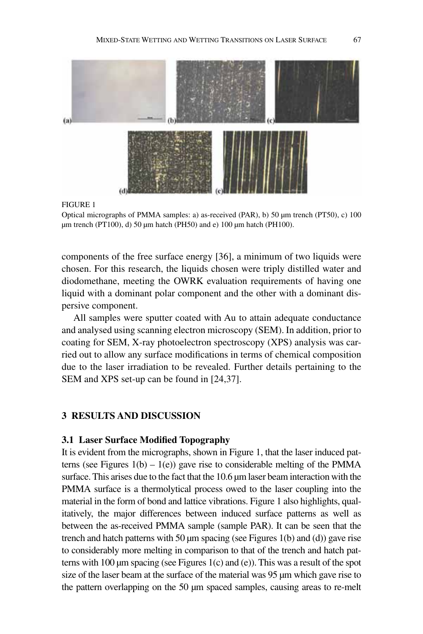

#### Figure 1

components of the free surface energy [36], a minimum of two liquids were chosen. For this research, the liquids chosen were triply distilled water and diodomethane, meeting the OWRK evaluation requirements of having one liquid with a dominant polar component and the other with a dominant dispersive component.

All samples were sputter coated with Au to attain adequate conductance and analysed using scanning electron microscopy (SEM). In addition, prior to coating for SEM, X-ray photoelectron spectroscopy (XPS) analysis was carried out to allow any surface modifications in terms of chemical composition due to the laser irradiation to be revealed. Further details pertaining to the SEM and XPS set-up can be found in [24,37].

#### **3 Results and Discussion**

#### **3.1 Laser Surface Modified Topography**

It is evident from the micrographs, shown in Figure 1, that the laser induced patterns (see Figures  $1(b) - 1(e)$ ) gave rise to considerable melting of the PMMA surface. This arises due to the fact that the 10.6  $\mu$ m laser beam interaction with the PMMA surface is a thermolytical process owed to the laser coupling into the material in the form of bond and lattice vibrations. Figure 1 also highlights, qualitatively, the major differences between induced surface patterns as well as between the as-received PMMA sample (sample PAR). It can be seen that the trench and hatch patterns with 50  $\mu$ m spacing (see Figures 1(b) and (d)) gave rise to considerably more melting in comparison to that of the trench and hatch patterns with 100  $\mu$ m spacing (see Figures 1(c) and (e)). This was a result of the spot size of the laser beam at the surface of the material was 95 µm which gave rise to the pattern overlapping on the 50 µm spaced samples, causing areas to re-melt

Optical micrographs of PMMA samples: a) as-received (PAR), b) 50  $\mu$ m trench (PT50), c) 100 um trench (PT100), d) 50  $\mu$ m hatch (PH50) and e) 100  $\mu$ m hatch (PH100).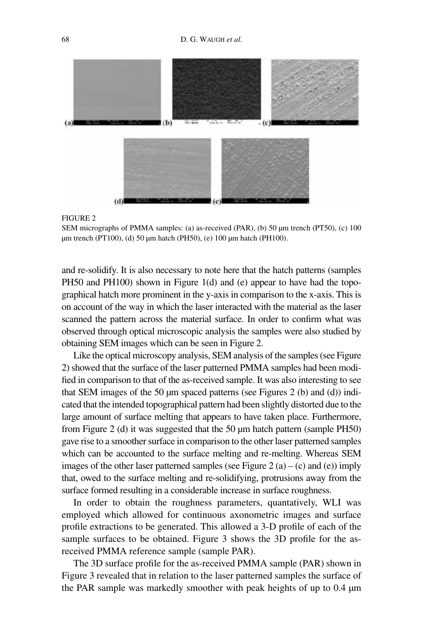

#### FIGURE 2

SEM micrographs of PMMA samples: (a) as-received (PAR), (b) 50 µm trench (PT50), (c) 100 µm trench (PT100), (d) 50 µm hatch (PH50), (e) 100 µm hatch (PH100).

and re-solidify. It is also necessary to note here that the hatch patterns (samples PH50 and PH100) shown in Figure 1(d) and (e) appear to have had the topographical hatch more prominent in the y-axis in comparison to the x-axis. This is on account of the way in which the laser interacted with the material as the laser scanned the pattern across the material surface. In order to confirm what was observed through optical microscopic analysis the samples were also studied by obtaining SEM images which can be seen in Figure 2.

Like the optical microscopy analysis, SEM analysis of the samples (see Figure 2) showed that the surface of the laser patterned PMMA samples had been modified in comparison to that of the as-received sample. It was also interesting to see that SEM images of the 50  $\mu$ m spaced patterns (see Figures 2 (b) and (d)) indicated that the intended topographical pattern had been slightly distorted due to the large amount of surface melting that appears to have taken place. Furthermore, from Figure 2 (d) it was suggested that the 50 µm hatch pattern (sample PH50) gave rise to a smoother surface in comparison to the other laser patterned samples which can be accounted to the surface melting and re-melting. Whereas SEM images of the other laser patterned samples (see Figure 2 (a) – (c) and (e)) imply that, owed to the surface melting and re-solidifying, protrusions away from the surface formed resulting in a considerable increase in surface roughness.

In order to obtain the roughness parameters, quantatively, WLI was employed which allowed for continuous axonometric images and surface profile extractions to be generated. This allowed a 3-D profile of each of the sample surfaces to be obtained. Figure 3 shows the 3D profile for the asreceived PMMA reference sample (sample PAR).

The 3D surface profile for the as-received PMMA sample (PAR) shown in Figure 3 revealed that in relation to the laser patterned samples the surface of the PAR sample was markedly smoother with peak heights of up to 0.4 µm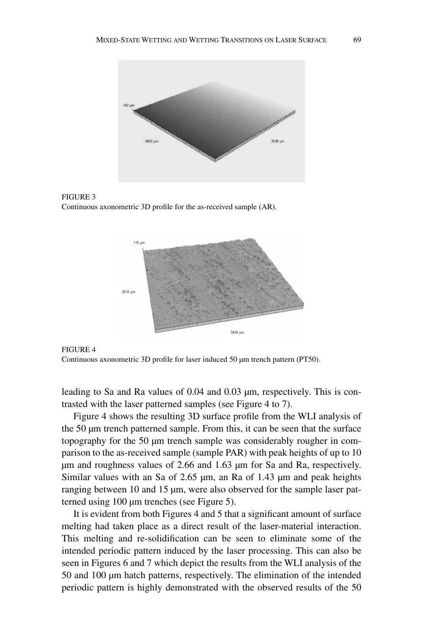

Figure 3 Continuous axonometric 3D profile for the as-received sample (AR).





leading to Sa and Ra values of 0.04 and 0.03 µm, respectively. This is contrasted with the laser patterned samples (see Figure 4 to 7).

Figure 4 shows the resulting 3D surface profile from the WLI analysis of the 50 µm trench patterned sample. From this, it can be seen that the surface topography for the 50 µm trench sample was considerably rougher in comparison to the as-received sample (sample PAR) with peak heights of up to 10 µm and roughness values of 2.66 and 1.63 µm for Sa and Ra, respectively. Similar values with an Sa of 2.65  $\mu$ m, an Ra of 1.43  $\mu$ m and peak heights ranging between 10 and 15 µm, were also observed for the sample laser patterned using 100 µm trenches (see Figure 5).

It is evident from both Figures 4 and 5 that a significant amount of surface melting had taken place as a direct result of the laser-material interaction. This melting and re-solidification can be seen to eliminate some of the intended periodic pattern induced by the laser processing. This can also be seen in Figures 6 and 7 which depict the results from the WLI analysis of the 50 and 100 µm hatch patterns, respectively. The elimination of the intended periodic pattern is highly demonstrated with the observed results of the 50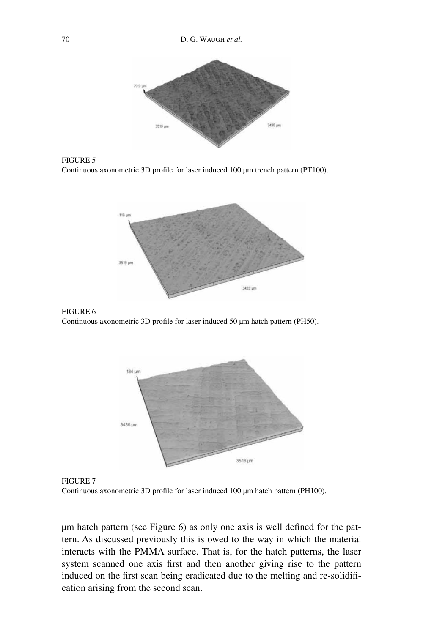









Figure 7 Continuous axonometric 3D profile for laser induced 100 µm hatch pattern (PH100).

µm hatch pattern (see Figure 6) as only one axis is well defined for the pattern. As discussed previously this is owed to the way in which the material interacts with the PMMA surface. That is, for the hatch patterns, the laser system scanned one axis first and then another giving rise to the pattern induced on the first scan being eradicated due to the melting and re-solidification arising from the second scan.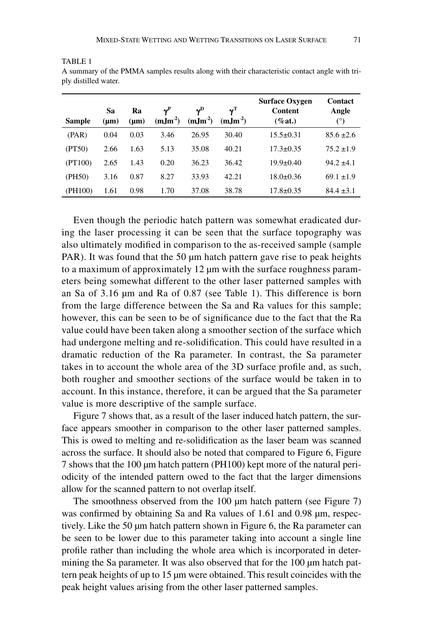| Sample  | Sa<br>$(\mu m)$ | Ra<br>$(\mu m)$ | $\mathbf{v}^{\mathrm{P}}$<br>$(mJm-2)$ | $\mathbf{v}^{\mathbf{D}}$<br>$(m,\mathrm{Im}^2)$ | $\mathbf{v}^\mathrm{T}$<br>$(mIm^{-2})$ | <b>Surface Oxygen</b><br>Content<br>$(\%at.)$ | <b>Contact</b><br>Angle<br>$(^\circ)$ |
|---------|-----------------|-----------------|----------------------------------------|--------------------------------------------------|-----------------------------------------|-----------------------------------------------|---------------------------------------|
| (PAR)   | 0.04            | 0.03            | 3.46                                   | 26.95                                            | 30.40                                   | $15.5 \pm 0.31$                               | $85.6 \pm 2.6$                        |
| (PT50)  | 2.66            | 1.63            | 5.13                                   | 35.08                                            | 40.21                                   | $17.3 \pm 0.35$                               | $75.2 \pm 1.9$                        |
| (PT100) | 2.65            | 1.43            | 0.20                                   | 36.23                                            | 36.42                                   | $19.9 \pm 0.40$                               | $94.2 \pm 4.1$                        |
| (PH50)  | 3.16            | 0.87            | 8.27                                   | 33.93                                            | 42.21                                   | $18.0 \pm 0.36$                               | $69.1 \pm 1.9$                        |
| (PH100) | 1.61            | 0.98            | 1.70                                   | 37.08                                            | 38.78                                   | $17.8 \pm 0.35$                               | $84.4 \pm 3.1$                        |

A summary of the PMMA samples results along with their characteristic contact angle with triply distilled water.

TABLE<sub>1</sub>

Even though the periodic hatch pattern was somewhat eradicated during the laser processing it can be seen that the surface topography was also ultimately modified in comparison to the as-received sample (sample PAR). It was found that the 50 µm hatch pattern gave rise to peak heights to a maximum of approximately 12 µm with the surface roughness parameters being somewhat different to the other laser patterned samples with an Sa of 3.16 µm and Ra of 0.87 (see Table 1). This difference is born from the large difference between the Sa and Ra values for this sample; however, this can be seen to be of significance due to the fact that the Ra value could have been taken along a smoother section of the surface which had undergone melting and re-solidification. This could have resulted in a dramatic reduction of the Ra parameter. In contrast, the Sa parameter takes in to account the whole area of the 3D surface profile and, as such, both rougher and smoother sections of the surface would be taken in to account. In this instance, therefore, it can be argued that the Sa parameter value is more descriptive of the sample surface.

Figure 7 shows that, as a result of the laser induced hatch pattern, the surface appears smoother in comparison to the other laser patterned samples. This is owed to melting and re-solidification as the laser beam was scanned across the surface. It should also be noted that compared to Figure 6, Figure 7 shows that the 100 µm hatch pattern (PH100) kept more of the natural periodicity of the intended pattern owed to the fact that the larger dimensions allow for the scanned pattern to not overlap itself.

The smoothness observed from the 100 µm hatch pattern (see Figure 7) was confirmed by obtaining Sa and Ra values of 1.61 and 0.98  $\mu$ m, respectively. Like the 50 µm hatch pattern shown in Figure 6, the Ra parameter can be seen to be lower due to this parameter taking into account a single line profile rather than including the whole area which is incorporated in determining the Sa parameter. It was also observed that for the 100 µm hatch pattern peak heights of up to 15 µm were obtained. This result coincides with the peak height values arising from the other laser patterned samples.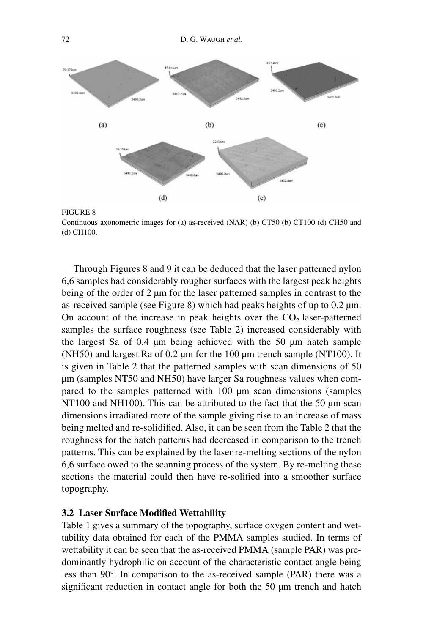



Through Figures 8 and 9 it can be deduced that the laser patterned nylon 6,6 samples had considerably rougher surfaces with the largest peak heights being of the order of 2 µm for the laser patterned samples in contrast to the as-received sample (see Figure 8) which had peaks heights of up to 0.2 µm. On account of the increase in peak heights over the  $CO<sub>2</sub>$  laser-patterned samples the surface roughness (see Table 2) increased considerably with the largest Sa of 0.4 µm being achieved with the 50 µm hatch sample (NH50) and largest Ra of 0.2 µm for the 100 µm trench sample (NT100). It is given in Table 2 that the patterned samples with scan dimensions of 50 µm (samples NT50 and NH50) have larger Sa roughness values when compared to the samples patterned with 100 µm scan dimensions (samples NT100 and NH100). This can be attributed to the fact that the 50 µm scan dimensions irradiated more of the sample giving rise to an increase of mass being melted and re-solidified. Also, it can be seen from the Table 2 that the roughness for the hatch patterns had decreased in comparison to the trench patterns. This can be explained by the laser re-melting sections of the nylon 6,6 surface owed to the scanning process of the system. By re-melting these sections the material could then have re-solified into a smoother surface topography.

#### **3.2 Laser Surface Modified Wettability**

Table 1 gives a summary of the topography, surface oxygen content and wettability data obtained for each of the PMMA samples studied. In terms of wettability it can be seen that the as-received PMMA (sample PAR) was predominantly hydrophilic on account of the characteristic contact angle being less than 90°. In comparison to the as-received sample (PAR) there was a significant reduction in contact angle for both the 50 µm trench and hatch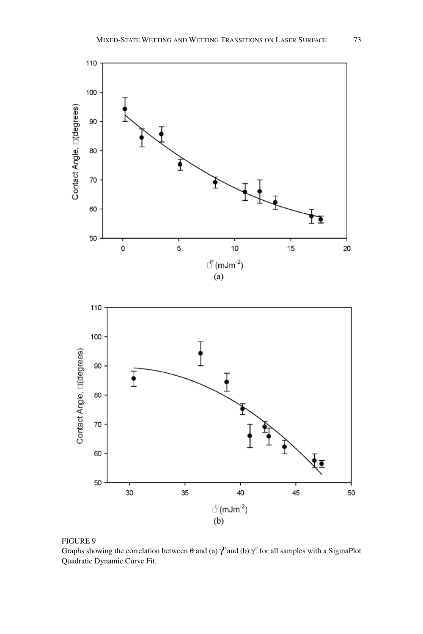

#### FIGURE 9

Graphs showing the correlation between  $\theta$  and (a)  $\gamma^P$  and (b)  $\gamma^T$  for all samples with a SigmaPlot Quadratic Dynamic Curve Fit.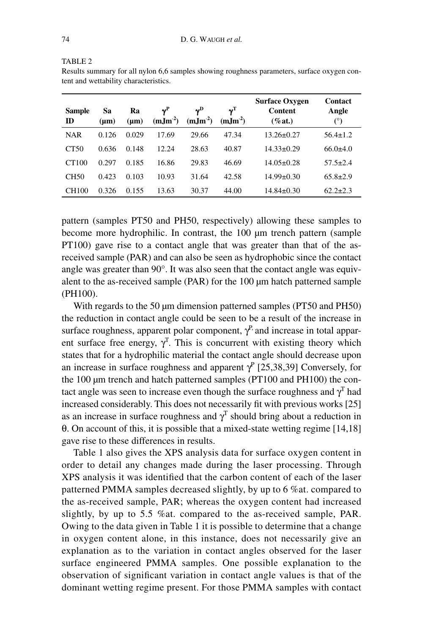TABLE<sub>2</sub>

| Results summary for all nylon 6,6 samples showing roughness parameters, surface oxygen con- |  |  |
|---------------------------------------------------------------------------------------------|--|--|
| tent and wettability characteristics.                                                       |  |  |
|                                                                                             |  |  |
|                                                                                             |  |  |

| <b>Sample</b><br>ID | Sa<br>(µm) | Ra<br>$(\mu m)$ | $\boldsymbol{\gamma}^\text{P}$<br>$(m, Jm^{-2})$ | $\mathbf{v}^{\mathrm{D}}$<br>$(m, Jm^{-2})$ | $\mathbf{v}^{\mathrm{T}}$<br>$(mIm-2)$ | <b>Surface Oxygen</b><br>Content<br>$(\%at.)$ | <b>Contact</b><br>Angle<br>(°) |
|---------------------|------------|-----------------|--------------------------------------------------|---------------------------------------------|----------------------------------------|-----------------------------------------------|--------------------------------|
| <b>NAR</b>          | 0.126      | 0.029           | 17.69                                            | 29.66                                       | 47.34                                  | $13.26 \pm 0.27$                              | $56.4 \pm 1.2$                 |
| CT50                | 0.636      | 0.148           | 12.24                                            | 28.63                                       | 40.87                                  | $14.33 \pm 0.29$                              | $66.0 \pm 4.0$                 |
| CT100               | 0.297      | 0.185           | 16.86                                            | 29.83                                       | 46.69                                  | $14.05 \pm 0.28$                              | $57.5 \pm 2.4$                 |
| CH50                | 0.423      | 0.103           | 10.93                                            | 31.64                                       | 42.58                                  | $14.99 \pm 0.30$                              | $65.8 \pm 2.9$                 |
| CH100               | 0.326      | 0.155           | 13.63                                            | 30.37                                       | 44.00                                  | $14.84 \pm 0.30$                              | $62.2 \pm 2.3$                 |

pattern (samples PT50 and PH50, respectively) allowing these samples to become more hydrophilic. In contrast, the 100 µm trench pattern (sample PT100) gave rise to a contact angle that was greater than that of the asreceived sample (PAR) and can also be seen as hydrophobic since the contact angle was greater than 90°. It was also seen that the contact angle was equivalent to the as-received sample (PAR) for the 100 µm hatch patterned sample (PH100).

With regards to the 50 µm dimension patterned samples (PT50 and PH50) the reduction in contact angle could be seen to be a result of the increase in surface roughness, apparent polar component,  $\gamma^P$ , and increase in total apparent surface free energy,  $\gamma^T$ . This is concurrent with existing theory which states that for a hydrophilic material the contact angle should decrease upon an increase in surface roughness and apparent  $\gamma^P$  [25,38,39] Conversely, for the 100 µm trench and hatch patterned samples (PT100 and PH100) the contact angle was seen to increase even though the surface roughness and  $\gamma^T$  had increased considerably. This does not necessarily fit with previous works [25] as an increase in surface roughness and  $\gamma$ <sup>T</sup> should bring about a reduction in θ. On account of this, it is possible that a mixed-state wetting regime [14,18] gave rise to these differences in results.

Table 1 also gives the XPS analysis data for surface oxygen content in order to detail any changes made during the laser processing. Through XPS analysis it was identified that the carbon content of each of the laser patterned PMMA samples decreased slightly, by up to 6 %at. compared to the as-received sample, PAR; whereas the oxygen content had increased slightly, by up to 5.5 %at. compared to the as-received sample, PAR. Owing to the data given in Table 1 it is possible to determine that a change in oxygen content alone, in this instance, does not necessarily give an explanation as to the variation in contact angles observed for the laser surface engineered PMMA samples. One possible explanation to the observation of significant variation in contact angle values is that of the dominant wetting regime present. For those PMMA samples with contact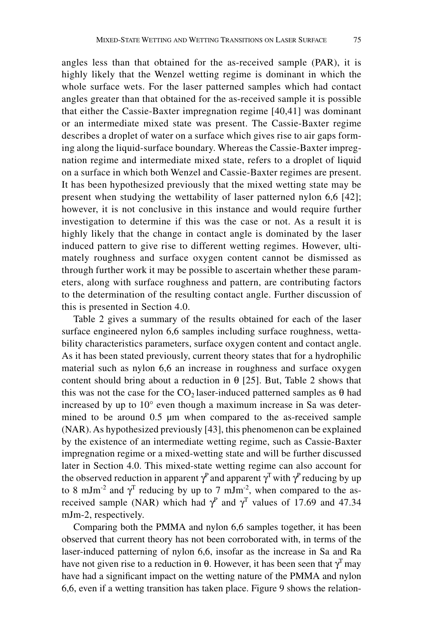angles less than that obtained for the as-received sample (PAR), it is highly likely that the Wenzel wetting regime is dominant in which the whole surface wets. For the laser patterned samples which had contact angles greater than that obtained for the as-received sample it is possible that either the Cassie-Baxter impregnation regime [40,41] was dominant or an intermediate mixed state was present. The Cassie-Baxter regime describes a droplet of water on a surface which gives rise to air gaps forming along the liquid-surface boundary. Whereas the Cassie-Baxter impregnation regime and intermediate mixed state, refers to a droplet of liquid on a surface in which both Wenzel and Cassie-Baxter regimes are present. It has been hypothesized previously that the mixed wetting state may be present when studying the wettability of laser patterned nylon 6,6 [42]; however, it is not conclusive in this instance and would require further investigation to determine if this was the case or not. As a result it is highly likely that the change in contact angle is dominated by the laser induced pattern to give rise to different wetting regimes. However, ultimately roughness and surface oxygen content cannot be dismissed as through further work it may be possible to ascertain whether these parameters, along with surface roughness and pattern, are contributing factors to the determination of the resulting contact angle. Further discussion of this is presented in Section 4.0.

Table 2 gives a summary of the results obtained for each of the laser surface engineered nylon 6,6 samples including surface roughness, wettability characteristics parameters, surface oxygen content and contact angle. As it has been stated previously, current theory states that for a hydrophilic material such as nylon 6,6 an increase in roughness and surface oxygen content should bring about a reduction in  $\theta$  [25]. But, Table 2 shows that this was not the case for the  $CO<sub>2</sub>$  laser-induced patterned samples as  $\theta$  had increased by up to 10° even though a maximum increase in Sa was determined to be around 0.5 µm when compared to the as-received sample (NAR). As hypothesized previously [43], this phenomenon can be explained by the existence of an intermediate wetting regime, such as Cassie-Baxter impregnation regime or a mixed-wetting state and will be further discussed later in Section 4.0. This mixed-state wetting regime can also account for the observed reduction in apparent  $\gamma^P$  and apparent  $\gamma^T$  with  $\gamma^P$  reducing by up to 8 mJm<sup>-2</sup> and  $\gamma$ <sup>T</sup> reducing by up to 7 mJm<sup>-2</sup>, when compared to the asreceived sample (NAR) which had  $\gamma^P$  and  $\gamma^T$  values of 17.69 and 47.34 mJm-2, respectively.

Comparing both the PMMA and nylon 6,6 samples together, it has been observed that current theory has not been corroborated with, in terms of the laser-induced patterning of nylon 6,6, insofar as the increase in Sa and Ra have not given rise to a reduction in  $\theta$ . However, it has been seen that  $\gamma^T$  may have had a significant impact on the wetting nature of the PMMA and nylon 6,6, even if a wetting transition has taken place. Figure 9 shows the relation-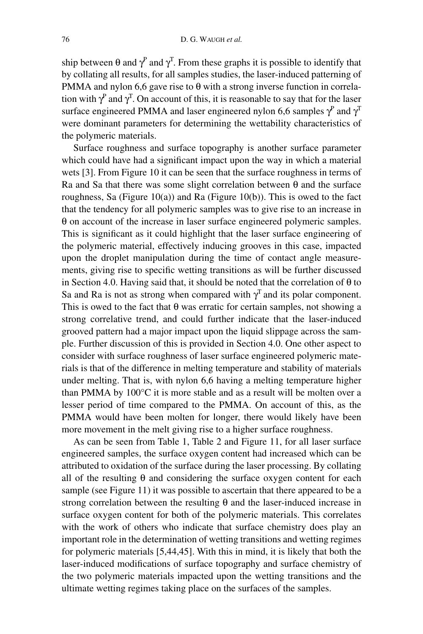ship between  $\theta$  and  $\gamma^P$  and  $\gamma^T$ . From these graphs it is possible to identify that by collating all results, for all samples studies, the laser-induced patterning of PMMA and nylon 6,6 gave rise to  $\theta$  with a strong inverse function in correlation with  $\gamma^P$  and  $\gamma^T$ . On account of this, it is reasonable to say that for the laser surface engineered PMMA and laser engineered nylon 6,6 samples  $\gamma^P$  and  $\gamma^T$ were dominant parameters for determining the wettability characteristics of the polymeric materials.

Surface roughness and surface topography is another surface parameter which could have had a significant impact upon the way in which a material wets [3]. From Figure 10 it can be seen that the surface roughness in terms of Ra and Sa that there was some slight correlation between  $\theta$  and the surface roughness, Sa (Figure  $10(a)$ ) and Ra (Figure  $10(b)$ ). This is owed to the fact that the tendency for all polymeric samples was to give rise to an increase in θ on account of the increase in laser surface engineered polymeric samples. This is significant as it could highlight that the laser surface engineering of the polymeric material, effectively inducing grooves in this case, impacted upon the droplet manipulation during the time of contact angle measurements, giving rise to specific wetting transitions as will be further discussed in Section 4.0. Having said that, it should be noted that the correlation of  $\theta$  to Sa and Ra is not as strong when compared with  $\gamma^T$  and its polar component. This is owed to the fact that  $\theta$  was erratic for certain samples, not showing a strong correlative trend, and could further indicate that the laser-induced grooved pattern had a major impact upon the liquid slippage across the sample. Further discussion of this is provided in Section 4.0. One other aspect to consider with surface roughness of laser surface engineered polymeric materials is that of the difference in melting temperature and stability of materials under melting. That is, with nylon 6,6 having a melting temperature higher than PMMA by 100°C it is more stable and as a result will be molten over a lesser period of time compared to the PMMA. On account of this, as the PMMA would have been molten for longer, there would likely have been more movement in the melt giving rise to a higher surface roughness.

As can be seen from Table 1, Table 2 and Figure 11, for all laser surface engineered samples, the surface oxygen content had increased which can be attributed to oxidation of the surface during the laser processing. By collating all of the resulting  $\theta$  and considering the surface oxygen content for each sample (see Figure 11) it was possible to ascertain that there appeared to be a strong correlation between the resulting  $\theta$  and the laser-induced increase in surface oxygen content for both of the polymeric materials. This correlates with the work of others who indicate that surface chemistry does play an important role in the determination of wetting transitions and wetting regimes for polymeric materials [5,44,45]. With this in mind, it is likely that both the laser-induced modifications of surface topography and surface chemistry of the two polymeric materials impacted upon the wetting transitions and the ultimate wetting regimes taking place on the surfaces of the samples.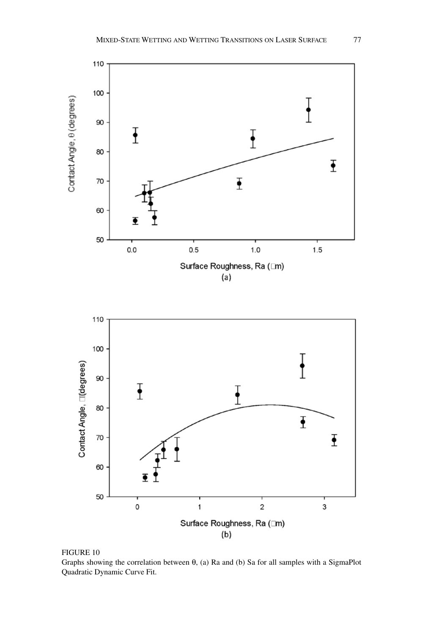

Figure 10

Graphs showing the correlation between  $\theta$ , (a) Ra and (b) Sa for all samples with a SigmaPlot Quadratic Dynamic Curve Fit.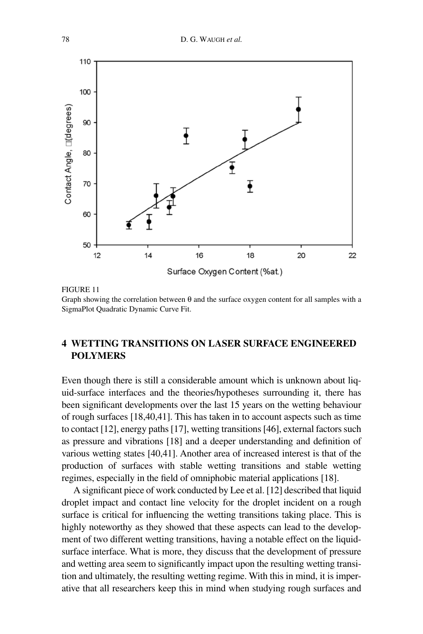

#### Figure 11

Graph showing the correlation between θ and the surface oxygen content for all samples with a SigmaPlot Quadratic Dynamic Curve Fit.

### **4 Wetting Transitions on Laser Surface Engineered Polymers**

Even though there is still a considerable amount which is unknown about liquid-surface interfaces and the theories/hypotheses surrounding it, there has been significant developments over the last 15 years on the wetting behaviour of rough surfaces [18,40,41]. This has taken in to account aspects such as time to contact [12], energy paths [17], wetting transitions [46], external factors such as pressure and vibrations [18] and a deeper understanding and definition of various wetting states [40,41]. Another area of increased interest is that of the production of surfaces with stable wetting transitions and stable wetting regimes, especially in the field of omniphobic material applications [18].

A significant piece of work conducted by Lee et al. [12] described that liquid droplet impact and contact line velocity for the droplet incident on a rough surface is critical for influencing the wetting transitions taking place. This is highly noteworthy as they showed that these aspects can lead to the development of two different wetting transitions, having a notable effect on the liquidsurface interface. What is more, they discuss that the development of pressure and wetting area seem to significantly impact upon the resulting wetting transition and ultimately, the resulting wetting regime. With this in mind, it is imperative that all researchers keep this in mind when studying rough surfaces and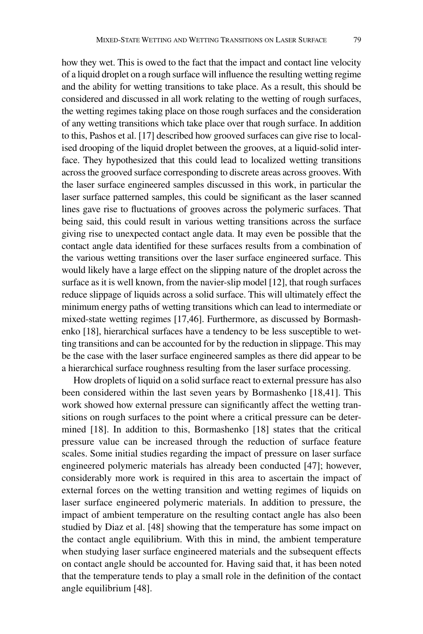how they wet. This is owed to the fact that the impact and contact line velocity of a liquid droplet on a rough surface will influence the resulting wetting regime and the ability for wetting transitions to take place. As a result, this should be considered and discussed in all work relating to the wetting of rough surfaces, the wetting regimes taking place on those rough surfaces and the consideration of any wetting transitions which take place over that rough surface. In addition to this, Pashos et al. [17] described how grooved surfaces can give rise to localised drooping of the liquid droplet between the grooves, at a liquid-solid interface. They hypothesized that this could lead to localized wetting transitions across the grooved surface corresponding to discrete areas across grooves. With the laser surface engineered samples discussed in this work, in particular the laser surface patterned samples, this could be significant as the laser scanned lines gave rise to fluctuations of grooves across the polymeric surfaces. That being said, this could result in various wetting transitions across the surface giving rise to unexpected contact angle data. It may even be possible that the contact angle data identified for these surfaces results from a combination of the various wetting transitions over the laser surface engineered surface. This would likely have a large effect on the slipping nature of the droplet across the surface as it is well known, from the navier-slip model [12], that rough surfaces reduce slippage of liquids across a solid surface. This will ultimately effect the minimum energy paths of wetting transitions which can lead to intermediate or mixed-state wetting regimes [17,46]. Furthermore, as discussed by Bormashenko [18], hierarchical surfaces have a tendency to be less susceptible to wetting transitions and can be accounted for by the reduction in slippage. This may be the case with the laser surface engineered samples as there did appear to be a hierarchical surface roughness resulting from the laser surface processing.

How droplets of liquid on a solid surface react to external pressure has also been considered within the last seven years by Bormashenko [18,41]. This work showed how external pressure can significantly affect the wetting transitions on rough surfaces to the point where a critical pressure can be determined [18]. In addition to this, Bormashenko [18] states that the critical pressure value can be increased through the reduction of surface feature scales. Some initial studies regarding the impact of pressure on laser surface engineered polymeric materials has already been conducted [47]; however, considerably more work is required in this area to ascertain the impact of external forces on the wetting transition and wetting regimes of liquids on laser surface engineered polymeric materials. In addition to pressure, the impact of ambient temperature on the resulting contact angle has also been studied by Diaz et al. [48] showing that the temperature has some impact on the contact angle equilibrium. With this in mind, the ambient temperature when studying laser surface engineered materials and the subsequent effects on contact angle should be accounted for. Having said that, it has been noted that the temperature tends to play a small role in the definition of the contact angle equilibrium [48].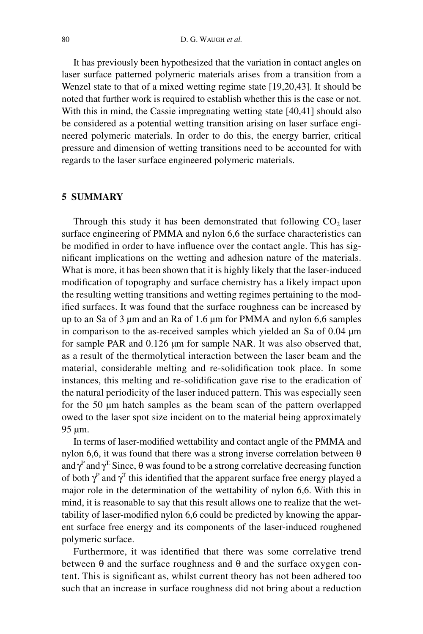It has previously been hypothesized that the variation in contact angles on laser surface patterned polymeric materials arises from a transition from a Wenzel state to that of a mixed wetting regime state [19,20,43]. It should be noted that further work is required to establish whether this is the case or not. With this in mind, the Cassie impregnating wetting state [40,41] should also be considered as a potential wetting transition arising on laser surface engineered polymeric materials. In order to do this, the energy barrier, critical pressure and dimension of wetting transitions need to be accounted for with regards to the laser surface engineered polymeric materials.

#### **5 Summary**

Through this study it has been demonstrated that following  $CO<sub>2</sub>$  laser surface engineering of PMMA and nylon 6,6 the surface characteristics can be modified in order to have influence over the contact angle. This has significant implications on the wetting and adhesion nature of the materials. What is more, it has been shown that it is highly likely that the laser-induced modification of topography and surface chemistry has a likely impact upon the resulting wetting transitions and wetting regimes pertaining to the modified surfaces. It was found that the surface roughness can be increased by up to an Sa of 3 µm and an Ra of 1.6 µm for PMMA and nylon 6,6 samples in comparison to the as-received samples which yielded an Sa of 0.04 µm for sample PAR and 0.126 µm for sample NAR. It was also observed that, as a result of the thermolytical interaction between the laser beam and the material, considerable melting and re-solidification took place. In some instances, this melting and re-solidification gave rise to the eradication of the natural periodicity of the laser induced pattern. This was especially seen for the 50 µm hatch samples as the beam scan of the pattern overlapped owed to the laser spot size incident on to the material being approximately 95 µm.

In terms of laser-modified wettability and contact angle of the PMMA and nylon 6,6, it was found that there was a strong inverse correlation between  $\theta$ and  $\gamma^P$  and  $\gamma^T$ . Since,  $\theta$  was found to be a strong correlative decreasing function of both  $\gamma^P$  and  $\gamma^T$  this identified that the apparent surface free energy played a major role in the determination of the wettability of nylon 6,6. With this in mind, it is reasonable to say that this result allows one to realize that the wettability of laser-modified nylon 6,6 could be predicted by knowing the apparent surface free energy and its components of the laser-induced roughened polymeric surface.

Furthermore, it was identified that there was some correlative trend between  $\theta$  and the surface roughness and  $\theta$  and the surface oxygen content. This is significant as, whilst current theory has not been adhered too such that an increase in surface roughness did not bring about a reduction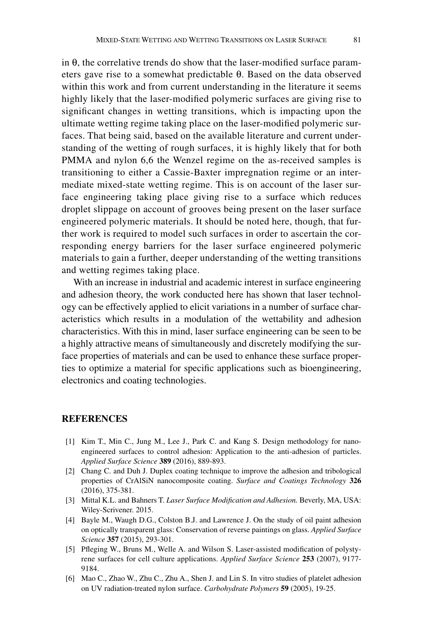in θ, the correlative trends do show that the laser-modified surface parameters gave rise to a somewhat predictable θ. Based on the data observed within this work and from current understanding in the literature it seems highly likely that the laser-modified polymeric surfaces are giving rise to significant changes in wetting transitions, which is impacting upon the ultimate wetting regime taking place on the laser-modified polymeric surfaces. That being said, based on the available literature and current understanding of the wetting of rough surfaces, it is highly likely that for both PMMA and nylon 6,6 the Wenzel regime on the as-received samples is transitioning to either a Cassie-Baxter impregnation regime or an intermediate mixed-state wetting regime. This is on account of the laser surface engineering taking place giving rise to a surface which reduces droplet slippage on account of grooves being present on the laser surface engineered polymeric materials. It should be noted here, though, that further work is required to model such surfaces in order to ascertain the corresponding energy barriers for the laser surface engineered polymeric materials to gain a further, deeper understanding of the wetting transitions and wetting regimes taking place.

With an increase in industrial and academic interest in surface engineering and adhesion theory, the work conducted here has shown that laser technology can be effectively applied to elicit variations in a number of surface characteristics which results in a modulation of the wettability and adhesion characteristics. With this in mind, laser surface engineering can be seen to be a highly attractive means of simultaneously and discretely modifying the surface properties of materials and can be used to enhance these surface properties to optimize a material for specific applications such as bioengineering, electronics and coating technologies.

#### **References**

- [1] Kim T., Min C., Jung M., Lee J., Park C. and Kang S. Design methodology for nanoengineered surfaces to control adhesion: Application to the anti-adhesion of particles. *Applied Surface Science* **389** (2016), 889-893.
- [2] Chang C. and Duh J. Duplex coating technique to improve the adhesion and tribological properties of CrAlSiN nanocomposite coating. *Surface and Coatings Technology* **326**  (2016), 375-381.
- [3] Mittal K.L. and Bahners T. *Laser Surface Modification and Adhesion.* Beverly, MA, USA: Wiley-Scrivener. 2015.
- [4] Bayle M., Waugh D.G., Colston B.J. and Lawrence J. On the study of oil paint adhesion on optically transparent glass: Conservation of reverse paintings on glass. *Applied Surface Science* **357** (2015), 293-301.
- [5] Pfleging W., Bruns M., Welle A. and Wilson S. Laser-assisted modification of polystyrene surfaces for cell culture applications. *Applied Surface Science* **253** (2007), 9177- 9184.
- [6] Mao C., Zhao W., Zhu C., Zhu A., Shen J. and Lin S. In vitro studies of platelet adhesion on UV radiation-treated nylon surface. *Carbohydrate Polymers* **59** (2005), 19-25.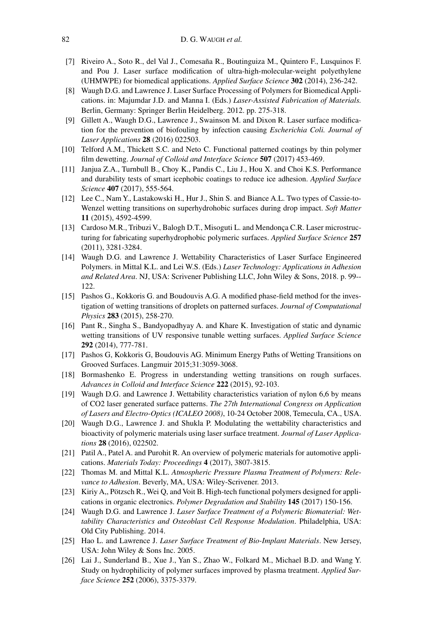- [7] Riveiro A., Soto R., del Val J., Comesaña R., Boutinguiza M., Quintero F., Lusquinos F. and Pou J. Laser surface modification of ultra-high-molecular-weight polyethylene (UHMWPE) for biomedical applications. *Applied Surface Science* **302** (2014), 236-242.
- [8] Waugh D.G. and Lawrence J. Laser Surface Processing of Polymers for Biomedical Applications. in: Majumdar J.D. and Manna I. (Eds.) *Laser-Assisted Fabrication of Materials.*  Berlin, Germany: Springer Berlin Heidelberg. 2012. pp. 275-318.
- [9] Gillett A., Waugh D.G., Lawrence J., Swainson M. and Dixon R. Laser surface modification for the prevention of biofouling by infection causing *Escherichia Coli. Journal of Laser Applications* **28** (2016) 022503.
- [10] Telford A.M., Thickett S.C. and Neto C. Functional patterned coatings by thin polymer film dewetting. *Journal of Colloid and Interface Science* **507** (2017) 453-469.
- [11] Janjua Z.A., Turnbull B., Choy K., Pandis C., Liu J., Hou X. and Choi K.S. Performance and durability tests of smart icephobic coatings to reduce ice adhesion. *Applied Surface Science* **407** (2017), 555-564.
- [12] Lee C., Nam Y., Lastakowski H., Hur J., Shin S. and Biance A.L. Two types of Cassie-to-Wenzel wetting transitions on superhydrohobic surfaces during drop impact. *Soft Matter* **11** (2015), 4592-4599.
- [13] Cardoso M.R., Tribuzi V., Balogh D.T., Misoguti L. and Mendonça C.R. Laser microstructuring for fabricating superhydrophobic polymeric surfaces. *Applied Surface Science* **257** (2011), 3281-3284.
- [14] Waugh D.G. and Lawrence J. Wettability Characteristics of Laser Surface Engineered Polymers. in Mittal K.L. and Lei W.S. (Eds.) *Laser Technology: Applications in Adhesion and Related Area*. NJ, USA: Scrivener Publishing LLC, John Wiley & Sons, 2018. p. 99-- 122.
- [15] Pashos G., Kokkoris G. and Boudouvis A.G. A modified phase-field method for the investigation of wetting transitions of droplets on patterned surfaces. *Journal of Computational Physics* **283** (2015), 258-270.
- [16] Pant R., Singha S., Bandyopadhyay A. and Khare K. Investigation of static and dynamic wetting transitions of UV responsive tunable wetting surfaces. *Applied Surface Science* **292** (2014), 777-781.
- [17] Pashos G, Kokkoris G, Boudouvis AG. Minimum Energy Paths of Wetting Transitions on Grooved Surfaces. Langmuir 2015;31:3059-3068.
- [18] Bormashenko E. Progress in understanding wetting transitions on rough surfaces. *Advances in Colloid and Interface Science* **222** (2015), 92-103.
- [19] Waugh D.G. and Lawrence J. Wettability characteristics variation of nylon 6,6 by means of CO2 laser generated surface patterns. *The 27th International Congress on Application of Lasers and Electro-Optics (ICALEO 2008)*, 10-24 October 2008, Temecula, CA., USA.
- [20] Waugh D.G., Lawrence J. and Shukla P. Modulating the wettability characteristics and bioactivity of polymeric materials using laser surface treatment. *Journal of Laser Applications* **28** (2016), 022502.
- [21] Patil A., Patel A. and Purohit R. An overview of polymeric materials for automotive applications. *Materials Today: Proceedings* **4** (2017), 3807-3815.
- [22] Thomas M. and Mittal K.L. *Atmospheric Pressure Plasma Treatment of Polymers: Relevance to Adhesion*. Beverly, MA, USA: Wiley-Scrivener. 2013.
- [23] Kiriy A,, Pötzsch R., Wei Q, and Voit B. High-tech functional polymers designed for applications in organic electronics. *Polymer Degradation and Stability* **145** (2017) 150-156.
- [24] Waugh D.G. and Lawrence J. *Laser Surface Treatment of a Polymeric Biomaterial: Wettability Characteristics and Osteoblast Cell Response Modulation*. Philadelphia, USA: Old City Publishing. 2014.
- [25] Hao L. and Lawrence J. *Laser Surface Treatment of Bio-Implant Materials*. New Jersey, USA: John Wiley & Sons Inc. 2005.
- [26] Lai J., Sunderland B., Xue J., Yan S., Zhao W., Folkard M., Michael B.D. and Wang Y. Study on hydrophilicity of polymer surfaces improved by plasma treatment. *Applied Surface Science* **252** (2006), 3375-3379.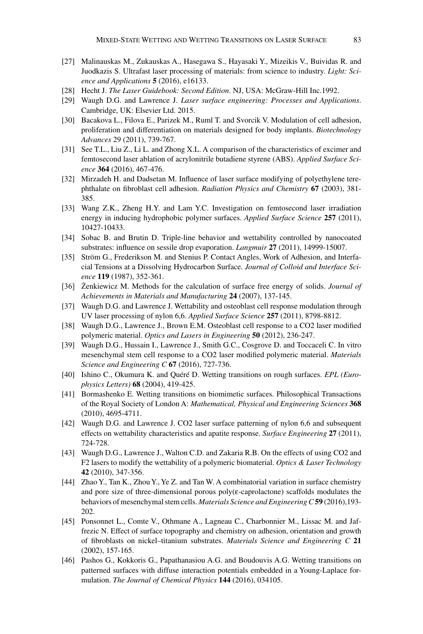- [27] Malinauskas M., Zukauskas A., Hasegawa S., Hayasaki Y., Mizeikis V., Buividas R. and Juodkazis S. Ultrafast laser processing of materials: from science to industry. *Light: Science and Applications* **5** (2016), e16133.
- [28] Hecht J. *The Laser Guidebook: Second Edition*. NJ, USA: McGraw-Hill Inc.1992.
- [29] Waugh D.G. and Lawrence J. *Laser surface engineering: Processes and Applications*. Cambridge, UK: Elsevier Ltd. 2015.
- [30] Bacakova L., Filova E., Parizek M., Ruml T. and Svorcik V. Modulation of cell adhesion, proliferation and differentiation on materials designed for body implants. *Biotechnology Advances* 29 (2011), 739-767.
- [31] See T.L., Liu Z., Li L. and Zhong X.L. A comparison of the characteristics of excimer and femtosecond laser ablation of acrylonitrile butadiene styrene (ABS). *Applied Surface Science* **364** (2016), 467-476.
- [32] Mirzadeh H. and Dadsetan M. Influence of laser surface modifying of polyethylene terephthalate on fibroblast cell adhesion. *Radiation Physics and Chemistry* **67** (2003), 381- 385.
- [33] Wang Z.K., Zheng H.Y. and Lam Y.C. Investigation on femtosecond laser irradiation energy in inducing hydrophobic polymer surfaces. *Applied Surface Science* **257** (2011), 10427-10433.
- [34] Sobac B. and Brutin D. Triple-line behavior and wettability controlled by nanocoated substrates: influence on sessile drop evaporation. *Langmuir* **27** (2011), 14999-15007.
- [35] Ström G., Frederikson M. and Stenius P. Contact Angles, Work of Adhesion, and Interfacial Tensions at a Dissolving Hydrocarbon Surface. *Journal of Colloid and Interface Science* **119** (1987), 352-361.
- [36] Żenkiewicz M. Methods for the calculation of surface free energy of solids. *Journal of Achievements in Materials and Manufacturing* **24** (2007), 137-145.
- [37] Waugh D.G. and Lawrence J. Wettability and osteoblast cell response modulation through UV laser processing of nylon 6,6. *Applied Surface Science* **257** (2011), 8798-8812.
- [38] Waugh D.G., Lawrence J., Brown E.M. Osteoblast cell response to a CO2 laser modified polymeric material. *Optics and Lasers in Engineering* **50** (2012), 236-247.
- [39] Waugh D.G., Hussain I., Lawrence J., Smith G.C., Cosgrove D. and Toccaceli C. In vitro mesenchymal stem cell response to a CO2 laser modified polymeric material. *Materials Science and Engineering C* **67** (2016), 727-736.
- [40] Ishino C., Okumura K. and Quéré D. Wetting transitions on rough surfaces. *EPL (Europhysics Letters)* **68** (2004), 419-425.
- [41] Bormashenko E. Wetting transitions on biomimetic surfaces. Philosophical Transactions of the Royal Society of London A: *Mathematical, Physical and Engineering Sciences* **368** (2010), 4695-4711.
- [42] Waugh D.G. and Lawrence J. CO2 laser surface patterning of nylon 6,6 and subsequent effects on wettability characteristics and apatite response. *Surface Engineering* **27** (2011), 724-728.
- [43] Waugh D.G., Lawrence J., Walton C.D. and Zakaria R.B. On the effects of using CO2 and F2 lasers to modify the wettability of a polymeric biomaterial. *Optics & Laser Technology* **42** (2010), 347-356.
- [44] Zhao Y., Tan K., Zhou Y., Ye Z. and Tan W. A combinatorial variation in surface chemistry and pore size of three-dimensional porous poly(ε-caprolactone) scaffolds modulates the behaviors of mesenchymal stem cells. *Materials Science and Engineering C***59** (2016),193- 202.
- [45] Ponsonnet L., Comte V., Othmane A., Lagneau C., Charbonnier M., Lissac M. and Jaffrezic N. Effect of surface topography and chemistry on adhesion, orientation and growth of fibroblasts on nickel–titanium substrates. *Materials Science and Engineering C* **21** (2002), 157-165.
- [46] Pashos G., Kokkoris G., Papathanasiou A.G. and Boudouvis A.G. Wetting transitions on patterned surfaces with diffuse interaction potentials embedded in a Young-Laplace formulation. *The Journal of Chemical Physics* **144** (2016), 034105.